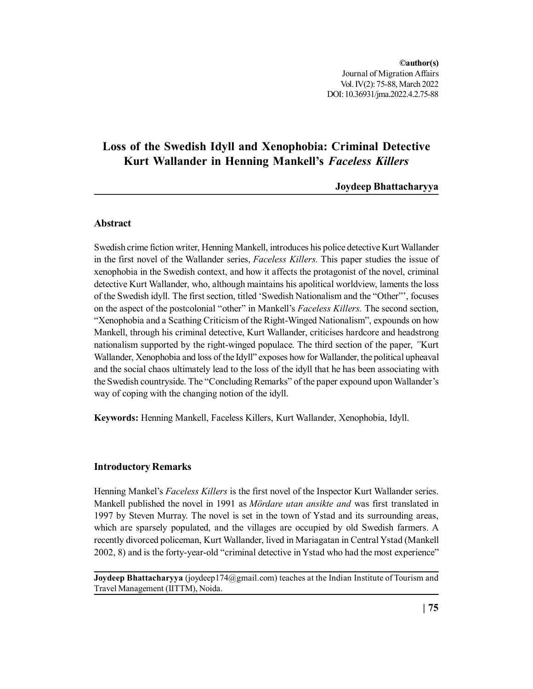Journal of Migration Affairs **©author(s)** Vol. IV(2): 75-88, March 2022 DOI: 10.36931/jma.2022.4.2.75-88

# **Loss of the Swedish Idyll and Xenophobia: Criminal Detective Kurt Wallander in Henning Mankell's** *Faceless Killers*

**Joydeep Bhattacharyya**

# **Abstract**

Swedish crime fiction writer, Henning Mankell, introduces his police detective Kurt Wallander in the first novel of the Wallander series, *Faceless Killers.* This paper studies the issue of xenophobia in the Swedish context, and how it affects the protagonist of the novel, criminal detective Kurt Wallander, who, although maintains his apolitical worldview, laments the loss of the Swedish idyll. The first section, titled 'Swedish Nationalism and the "Other"', focuses on the aspect of the postcolonial "other" in Mankell's *Faceless Killers.* The second section, "Xenophobia and a Scathing Criticism of the Right-Winged Nationalism", expounds on how Mankell, through his criminal detective, Kurt Wallander, criticises hardcore and headstrong nationalism supported by the right-winged populace. The third section of the paper, *"*Kurt Wallander, Xenophobia and loss of the Idyll" exposes how for Wallander, the political upheaval and the social chaos ultimately lead to the loss of the idyll that he has been associating with the Swedish countryside. The "Concluding Remarks" of the paper expound upon Wallander's way of coping with the changing notion of the idyll.

**Keywords:** Henning Mankell, Faceless Killers, Kurt Wallander, Xenophobia, Idyll.

# **Introductory Remarks**

Henning Mankel's *Faceless Killers* is the first novel of the Inspector Kurt Wallander series. Mankell published the novel in 1991 as *Mördare utan ansikte and* was first translated in 1997 by Steven Murray. The novel is set in the town of Ystad and its surrounding areas, which are sparsely populated, and the villages are occupied by old Swedish farmers. A recently divorced policeman, Kurt Wallander, lived in Mariagatan in Central Ystad (Mankell 2002, 8) and is the forty-year-old "criminal detective in Ystad who had the most experience"

**Joydeep Bhattacharyya** (joydeep174@gmail.com) teaches at the Indian Institute of Tourism and Travel Management (IITTM), Noida.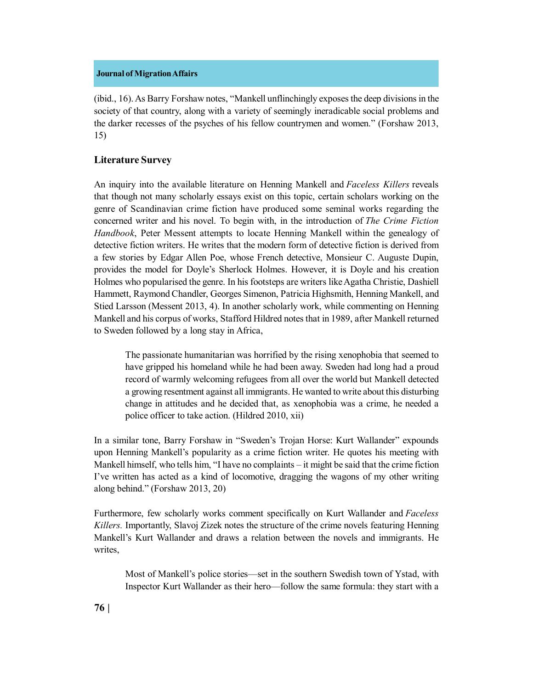(ibid., 16). As Barry Forshaw notes, "Mankell unflinchingly exposes the deep divisions in the society of that country, along with a variety of seemingly ineradicable social problems and the darker recesses of the psyches of his fellow countrymen and women." (Forshaw 2013, 15)

# **Literature Survey**

An inquiry into the available literature on Henning Mankell and *Faceless Killers* reveals that though not many scholarly essays exist on this topic, certain scholars working on the genre of Scandinavian crime fiction have produced some seminal works regarding the concerned writer and his novel. To begin with, in the introduction of *The Crime Fiction Handbook*, Peter Messent attempts to locate Henning Mankell within the genealogy of detective fiction writers. He writes that the modern form of detective fiction is derived from a few stories by Edgar Allen Poe, whose French detective, Monsieur C. Auguste Dupin, provides the model for Doyle's Sherlock Holmes. However, it is Doyle and his creation Holmes who popularised the genre. In his footsteps are writers like Agatha Christie, Dashiell Hammett, Raymond Chandler, Georges Simenon, Patricia Highsmith, Henning Mankell, and Stied Larsson (Messent 2013, 4). In another scholarly work, while commenting on Henning Mankell and his corpus of works, Stafford Hildred notes that in 1989, after Mankell returned to Sweden followed by a long stay in Africa,

The passionate humanitarian was horrified by the rising xenophobia that seemed to have gripped his homeland while he had been away. Sweden had long had a proud record of warmly welcoming refugees from all over the world but Mankell detected a growing resentment against all immigrants. He wanted to write about this disturbing change in attitudes and he decided that, as xenophobia was a crime, he needed a police officer to take action. (Hildred 2010, xii)

In a similar tone, Barry Forshaw in "Sweden's Trojan Horse: Kurt Wallander" expounds upon Henning Mankell's popularity as a crime fiction writer. He quotes his meeting with Mankell himself, who tells him, "I have no complaints – it might be said that the crime fiction I've written has acted as a kind of locomotive, dragging the wagons of my other writing along behind." (Forshaw 2013, 20)

Furthermore, few scholarly works comment specifically on Kurt Wallander and *Faceless Killers.* Importantly, Slavoj Zizek notes the structure of the crime novels featuring Henning Mankell's Kurt Wallander and draws a relation between the novels and immigrants. He writes,

Most of Mankell's police stories—set in the southern Swedish town of Ystad, with Inspector Kurt Wallander as their hero—follow the same formula: they start with a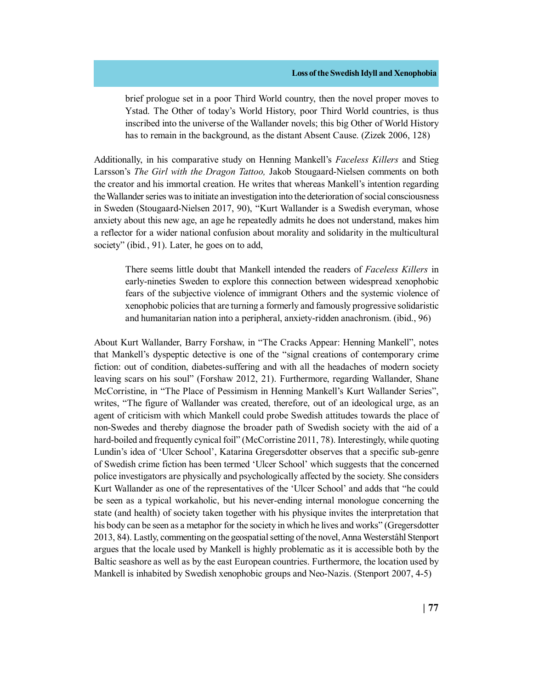brief prologue set in a poor Third World country, then the novel proper moves to Ystad. The Other of today's World History, poor Third World countries, is thus inscribed into the universe of the Wallander novels; this big Other of World History has to remain in the background, as the distant Absent Cause. (Zizek 2006, 128)

Additionally, in his comparative study on Henning Mankell's *Faceless Killers* and Stieg Larsson's *The Girl with the Dragon Tattoo,* Jakob Stougaard-Nielsen comments on both the creator and his immortal creation. He writes that whereas Mankell's intention regarding the Wallander series was to initiate an investigation into the deterioration of social consciousness in Sweden (Stougaard-Nielsen 2017, 90), "Kurt Wallander is a Swedish everyman, whose anxiety about this new age, an age he repeatedly admits he does not understand, makes him a reflector for a wider national confusion about morality and solidarity in the multicultural society" (ibid*.*, 91). Later, he goes on to add,

There seems little doubt that Mankell intended the readers of *Faceless Killers* in early-nineties Sweden to explore this connection between widespread xenophobic fears of the subjective violence of immigrant Others and the systemic violence of xenophobic policies that are turning a formerly and famously progressive solidaristic and humanitarian nation into a peripheral, anxiety-ridden anachronism. (ibid., 96)

About Kurt Wallander, Barry Forshaw, in "The Cracks Appear: Henning Mankell", notes that Mankell's dyspeptic detective is one of the "signal creations of contemporary crime fiction: out of condition, diabetes-suffering and with all the headaches of modern society leaving scars on his soul" (Forshaw 2012, 21). Furthermore, regarding Wallander, Shane McCorristine, in "The Place of Pessimism in Henning Mankell's Kurt Wallander Series", writes, "The figure of Wallander was created, therefore, out of an ideological urge, as an agent of criticism with which Mankell could probe Swedish attitudes towards the place of non-Swedes and thereby diagnose the broader path of Swedish society with the aid of a hard-boiled and frequently cynical foil" (McCorristine 2011, 78). Interestingly, while quoting Lundin's idea of 'Ulcer School', Katarina Gregersdotter observes that a specific sub-genre of Swedish crime fiction has been termed 'Ulcer School' which suggests that the concerned police investigators are physically and psychologically affected by the society. She considers Kurt Wallander as one of the representatives of the 'Ulcer School' and adds that "he could be seen as a typical workaholic, but his never-ending internal monologue concerning the state (and health) of society taken together with his physique invites the interpretation that his body can be seen as a metaphor for the society in which he lives and works" (Gregersdotter 2013, 84). Lastly, commenting on the geospatial setting of the novel, Anna Westerstâhl Stenport argues that the locale used by Mankell is highly problematic as it is accessible both by the Baltic seashore as well as by the east European countries. Furthermore, the location used by Mankell is inhabited by Swedish xenophobic groups and Neo-Nazis. (Stenport 2007, 4-5)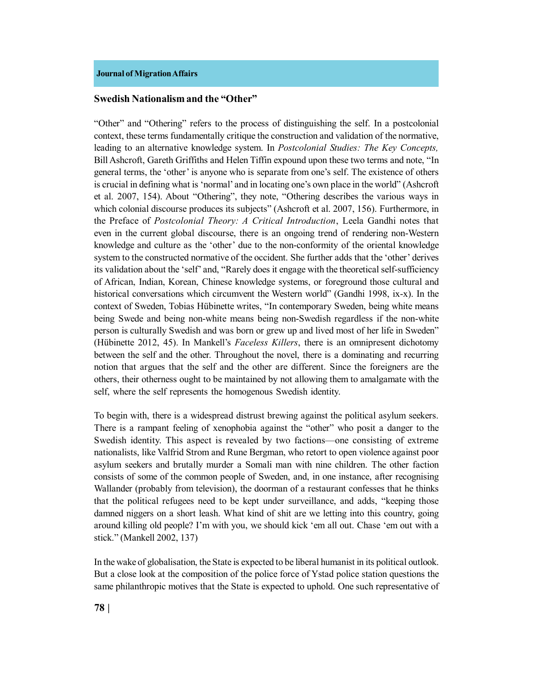# **Swedish Nationalism and the "Other"**

"Other" and "Othering" refers to the process of distinguishing the self. In a postcolonial context, these terms fundamentally critique the construction and validation of the normative, leading to an alternative knowledge system. In *Postcolonial Studies: The Key Concepts,* Bill Ashcroft, Gareth Griffiths and Helen Tiffin expound upon these two terms and note, "In general terms, the 'other' is anyone who is separate from one's self. The existence of others is crucial in defining what is 'normal' and in locating one's own place in the world" (Ashcroft et al. 2007, 154). About "Othering", they note, "Othering describes the various ways in which colonial discourse produces its subjects" (Ashcroft et al. 2007, 156). Furthermore, in the Preface of *Postcolonial Theory: A Critical Introduction*, Leela Gandhi notes that even in the current global discourse, there is an ongoing trend of rendering non-Western knowledge and culture as the 'other' due to the non-conformity of the oriental knowledge system to the constructed normative of the occident. She further adds that the 'other' derives its validation about the 'self' and, "Rarely does it engage with the theoretical self-sufficiency of African, Indian, Korean, Chinese knowledge systems, or foreground those cultural and historical conversations which circumvent the Western world" (Gandhi 1998, ix-x). In the context of Sweden, Tobias Hübinette writes, "In contemporary Sweden, being white means being Swede and being non-white means being non-Swedish regardless if the non-white person is culturally Swedish and was born or grew up and lived most of her life in Sweden" (Hübinette 2012, 45). In Mankell's *Faceless Killers*, there is an omnipresent dichotomy between the self and the other. Throughout the novel, there is a dominating and recurring notion that argues that the self and the other are different. Since the foreigners are the others, their otherness ought to be maintained by not allowing them to amalgamate with the self, where the self represents the homogenous Swedish identity.

To begin with, there is a widespread distrust brewing against the political asylum seekers. There is a rampant feeling of xenophobia against the "other" who posit a danger to the Swedish identity. This aspect is revealed by two factions—one consisting of extreme nationalists, like Valfrid Strom and Rune Bergman, who retort to open violence against poor asylum seekers and brutally murder a Somali man with nine children. The other faction consists of some of the common people of Sweden, and, in one instance, after recognising Wallander (probably from television), the doorman of a restaurant confesses that he thinks that the political refugees need to be kept under surveillance, and adds, "keeping those damned niggers on a short leash. What kind of shit are we letting into this country, going around killing old people? I'm with you, we should kick 'em all out. Chase 'em out with a stick." (Mankell 2002, 137)

In the wake of globalisation, the State is expected to be liberal humanist in its political outlook. But a close look at the composition of the police force of Ystad police station questions the same philanthropic motives that the State is expected to uphold. One such representative of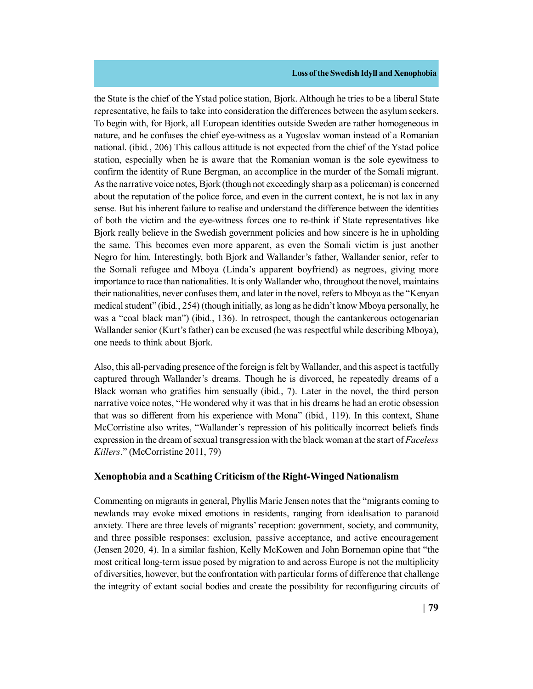the State is the chief of the Ystad police station, Bjork. Although he tries to be a liberal State representative, he fails to take into consideration the differences between the asylum seekers. To begin with, for Bjork, all European identities outside Sweden are rather homogeneous in nature, and he confuses the chief eye-witness as a Yugoslav woman instead of a Romanian national. (ibid*.*, 206) This callous attitude is not expected from the chief of the Ystad police station, especially when he is aware that the Romanian woman is the sole eyewitness to confirm the identity of Rune Bergman, an accomplice in the murder of the Somali migrant. As the narrative voice notes, Bjork (though not exceedingly sharp as a policeman) is concerned about the reputation of the police force, and even in the current context, he is not lax in any sense. But his inherent failure to realise and understand the difference between the identities of both the victim and the eye-witness forces one to re-think if State representatives like Bjork really believe in the Swedish government policies and how sincere is he in upholding the same. This becomes even more apparent, as even the Somali victim is just another Negro for him. Interestingly, both Bjork and Wallander's father, Wallander senior, refer to the Somali refugee and Mboya (Linda's apparent boyfriend) as negroes, giving more importance to race than nationalities. It is only Wallander who, throughout the novel, maintains their nationalities, never confuses them, and later in the novel, refers to Mboya as the "Kenyan medical student" (ibid*.*, 254) (though initially, as long as he didn't know Mboya personally, he was a "coal black man") (ibid*.*, 136). In retrospect, though the cantankerous octogenarian Wallander senior (Kurt's father) can be excused (he was respectful while describing Mboya), one needs to think about Bjork.

Also, this all-pervading presence of the foreign is felt by Wallander, and this aspect is tactfully captured through Wallander's dreams. Though he is divorced, he repeatedly dreams of a Black woman who gratifies him sensually (ibid*.*, 7). Later in the novel, the third person narrative voice notes, "He wondered why it was that in his dreams he had an erotic obsession that was so different from his experience with Mona" (ibid*.*, 119). In this context, Shane McCorristine also writes, "Wallander's repression of his politically incorrect beliefs finds expression in the dream of sexual transgression with the black woman at the start of *Faceless Killers*." (McCorristine 2011, 79)

# **Xenophobia and a Scathing Criticism of the Right-Winged Nationalism**

Commenting on migrants in general, Phyllis Marie Jensen notes that the "migrants coming to newlands may evoke mixed emotions in residents, ranging from idealisation to paranoid anxiety. There are three levels of migrants' reception: government, society, and community, and three possible responses: exclusion, passive acceptance, and active encouragement (Jensen 2020, 4). In a similar fashion, Kelly McKowen and John Borneman opine that "the most critical long-term issue posed by migration to and across Europe is not the multiplicity of diversities, however, but the confrontation with particular forms of difference that challenge the integrity of extant social bodies and create the possibility for reconfiguring circuits of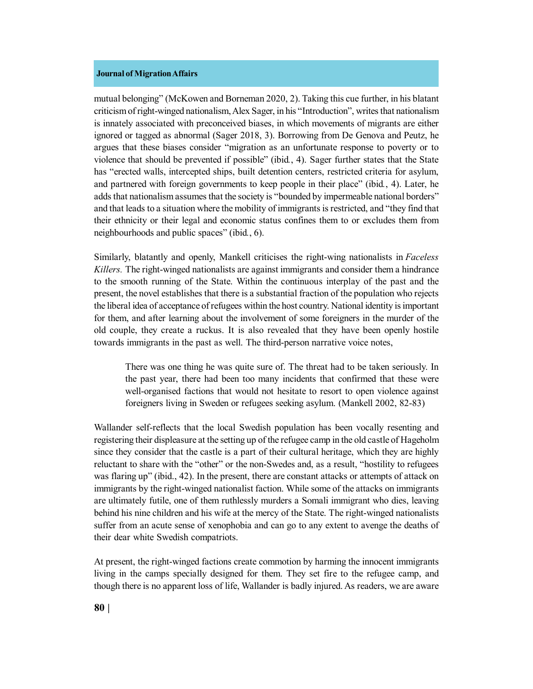mutual belonging" (McKowen and Borneman 2020, 2). Taking this cue further, in his blatant criticism of right-winged nationalism, Alex Sager, in his "Introduction", writes that nationalism is innately associated with preconceived biases, in which movements of migrants are either ignored or tagged as abnormal (Sager 2018, 3). Borrowing from De Genova and Peutz, he argues that these biases consider "migration as an unfortunate response to poverty or to violence that should be prevented if possible" (ibid*.*, 4). Sager further states that the State has "erected walls, intercepted ships, built detention centers, restricted criteria for asylum, and partnered with foreign governments to keep people in their place" (ibid*.*, 4). Later, he adds that nationalism assumes that the society is "bounded by impermeable national borders" and that leads to a situation where the mobility of immigrants is restricted, and "they find that their ethnicity or their legal and economic status confines them to or excludes them from neighbourhoods and public spaces" (ibid*.*, 6).

Similarly, blatantly and openly, Mankell criticises the right-wing nationalists in *Faceless Killers.* The right-winged nationalists are against immigrants and consider them a hindrance to the smooth running of the State. Within the continuous interplay of the past and the present, the novel establishes that there is a substantial fraction of the population who rejects the liberal idea of acceptance of refugees within the host country. National identity is important for them, and after learning about the involvement of some foreigners in the murder of the old couple, they create a ruckus. It is also revealed that they have been openly hostile towards immigrants in the past as well. The third-person narrative voice notes,

There was one thing he was quite sure of. The threat had to be taken seriously. In the past year, there had been too many incidents that confirmed that these were well-organised factions that would not hesitate to resort to open violence against foreigners living in Sweden or refugees seeking asylum. (Mankell 2002, 82-83)

Wallander self-reflects that the local Swedish population has been vocally resenting and registering their displeasure at the setting up of the refugee camp in the old castle of Hageholm since they consider that the castle is a part of their cultural heritage, which they are highly reluctant to share with the "other" or the non-Swedes and, as a result, "hostility to refugees was flaring up" (ibid., 42). In the present, there are constant attacks or attempts of attack on immigrants by the right-winged nationalist faction. While some of the attacks on immigrants are ultimately futile, one of them ruthlessly murders a Somali immigrant who dies, leaving behind his nine children and his wife at the mercy of the State. The right-winged nationalists suffer from an acute sense of xenophobia and can go to any extent to avenge the deaths of their dear white Swedish compatriots.

At present, the right-winged factions create commotion by harming the innocent immigrants living in the camps specially designed for them. They set fire to the refugee camp, and though there is no apparent loss of life, Wallander is badly injured. As readers, we are aware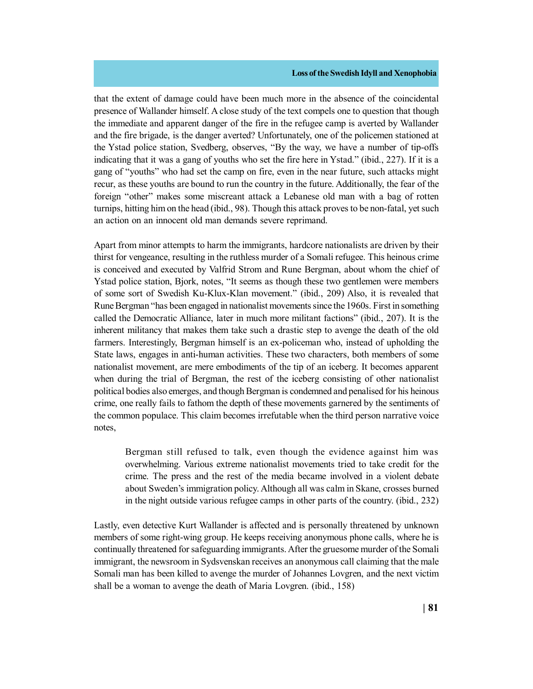that the extent of damage could have been much more in the absence of the coincidental presence of Wallander himself. A close study of the text compels one to question that though the immediate and apparent danger of the fire in the refugee camp is averted by Wallander and the fire brigade, is the danger averted? Unfortunately, one of the policemen stationed at the Ystad police station, Svedberg, observes, "By the way, we have a number of tip-offs indicating that it was a gang of youths who set the fire here in Ystad." (ibid., 227). If it is a gang of "youths" who had set the camp on fire, even in the near future, such attacks might recur, as these youths are bound to run the country in the future. Additionally, the fear of the foreign "other" makes some miscreant attack a Lebanese old man with a bag of rotten turnips, hitting him on the head (ibid., 98). Though this attack proves to be non-fatal, yet such an action on an innocent old man demands severe reprimand.

Apart from minor attempts to harm the immigrants, hardcore nationalists are driven by their thirst for vengeance, resulting in the ruthless murder of a Somali refugee. This heinous crime is conceived and executed by Valfrid Strom and Rune Bergman, about whom the chief of Ystad police station, Bjork, notes, "It seems as though these two gentlemen were members of some sort of Swedish Ku-Klux-Klan movement." (ibid., 209) Also, it is revealed that Rune Bergman "has been engaged in nationalist movements since the 1960s. First in something called the Democratic Alliance, later in much more militant factions" (ibid., 207). It is the inherent militancy that makes them take such a drastic step to avenge the death of the old farmers. Interestingly, Bergman himself is an ex-policeman who, instead of upholding the State laws, engages in anti-human activities. These two characters, both members of some nationalist movement, are mere embodiments of the tip of an iceberg. It becomes apparent when during the trial of Bergman, the rest of the iceberg consisting of other nationalist political bodies also emerges, and though Bergman is condemned and penalised for his heinous crime, one really fails to fathom the depth of these movements garnered by the sentiments of the common populace. This claim becomes irrefutable when the third person narrative voice notes,

Bergman still refused to talk, even though the evidence against him was overwhelming. Various extreme nationalist movements tried to take credit for the crime. The press and the rest of the media became involved in a violent debate about Sweden's immigration policy. Although all was calm in Skane, crosses burned in the night outside various refugee camps in other parts of the country. (ibid., 232)

Lastly, even detective Kurt Wallander is affected and is personally threatened by unknown members of some right-wing group. He keeps receiving anonymous phone calls, where he is continually threatened for safeguarding immigrants. After the gruesome murder of the Somali immigrant, the newsroom in Sydsvenskan receives an anonymous call claiming that the male Somali man has been killed to avenge the murder of Johannes Lovgren, and the next victim shall be a woman to avenge the death of Maria Lovgren. (ibid., 158)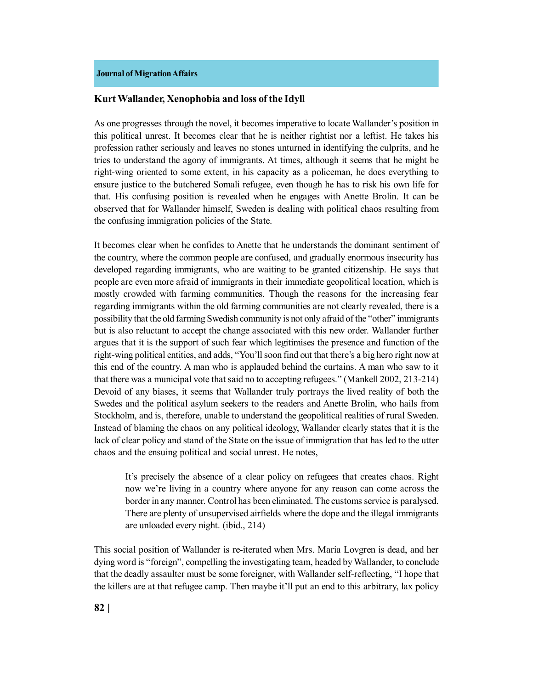# **Kurt Wallander, Xenophobia and loss of the Idyll**

As one progresses through the novel, it becomes imperative to locate Wallander's position in this political unrest. It becomes clear that he is neither rightist nor a leftist. He takes his profession rather seriously and leaves no stones unturned in identifying the culprits, and he tries to understand the agony of immigrants. At times, although it seems that he might be right-wing oriented to some extent, in his capacity as a policeman, he does everything to ensure justice to the butchered Somali refugee, even though he has to risk his own life for that. His confusing position is revealed when he engages with Anette Brolin. It can be observed that for Wallander himself, Sweden is dealing with political chaos resulting from the confusing immigration policies of the State.

It becomes clear when he confides to Anette that he understands the dominant sentiment of the country, where the common people are confused, and gradually enormous insecurity has developed regarding immigrants, who are waiting to be granted citizenship. He says that people are even more afraid of immigrants in their immediate geopolitical location, which is mostly crowded with farming communities. Though the reasons for the increasing fear regarding immigrants within the old farming communities are not clearly revealed, there is a possibility that the old farming Swedish community is not only afraid of the "other" immigrants but is also reluctant to accept the change associated with this new order. Wallander further argues that it is the support of such fear which legitimises the presence and function of the right-wing political entities, and adds, "You'll soon find out that there's a big hero right now at this end of the country. A man who is applauded behind the curtains. A man who saw to it that there was a municipal vote that said no to accepting refugees." (Mankell 2002, 213-214) Devoid of any biases, it seems that Wallander truly portrays the lived reality of both the Swedes and the political asylum seekers to the readers and Anette Brolin, who hails from Stockholm, and is, therefore, unable to understand the geopolitical realities of rural Sweden. Instead of blaming the chaos on any political ideology, Wallander clearly states that it is the lack of clear policy and stand of the State on the issue of immigration that has led to the utter chaos and the ensuing political and social unrest. He notes,

It's precisely the absence of a clear policy on refugees that creates chaos. Right now we're living in a country where anyone for any reason can come across the border in any manner. Control has been eliminated. The customs service is paralysed. There are plenty of unsupervised airfields where the dope and the illegal immigrants are unloaded every night. (ibid., 214)

This social position of Wallander is re-iterated when Mrs. Maria Lovgren is dead, and her dying word is "foreign", compelling the investigating team, headed by Wallander, to conclude that the deadly assaulter must be some foreigner, with Wallander self-reflecting, "I hope that the killers are at that refugee camp. Then maybe it'll put an end to this arbitrary, lax policy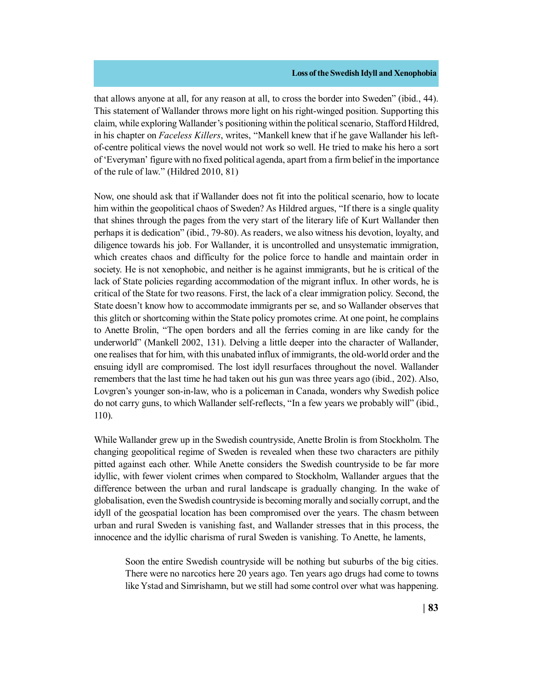that allows anyone at all, for any reason at all, to cross the border into Sweden" (ibid., 44). This statement of Wallander throws more light on his right-winged position. Supporting this claim, while exploring Wallander's positioning within the political scenario, Stafford Hildred, in his chapter on *Faceless Killers*, writes, "Mankell knew that if he gave Wallander his leftof-centre political views the novel would not work so well. He tried to make his hero a sort of 'Everyman' figure with no fixed political agenda, apart from a firm belief in the importance of the rule of law." (Hildred 2010, 81)

Now, one should ask that if Wallander does not fit into the political scenario, how to locate him within the geopolitical chaos of Sweden? As Hildred argues, "If there is a single quality that shines through the pages from the very start of the literary life of Kurt Wallander then perhaps it is dedication" (ibid., 79-80). As readers, we also witness his devotion, loyalty, and diligence towards his job. For Wallander, it is uncontrolled and unsystematic immigration, which creates chaos and difficulty for the police force to handle and maintain order in society. He is not xenophobic, and neither is he against immigrants, but he is critical of the lack of State policies regarding accommodation of the migrant influx. In other words, he is critical of the State for two reasons. First, the lack of a clear immigration policy. Second, the State doesn't know how to accommodate immigrants per se, and so Wallander observes that this glitch or shortcoming within the State policy promotes crime. At one point, he complains to Anette Brolin, "The open borders and all the ferries coming in are like candy for the underworld" (Mankell 2002, 131). Delving a little deeper into the character of Wallander, one realises that for him, with this unabated influx of immigrants, the old-world order and the ensuing idyll are compromised. The lost idyll resurfaces throughout the novel. Wallander remembers that the last time he had taken out his gun was three years ago (ibid., 202). Also, Lovgren's younger son-in-law, who is a policeman in Canada, wonders why Swedish police do not carry guns, to which Wallander self-reflects, "In a few years we probably will" (ibid., 110).

While Wallander grew up in the Swedish countryside, Anette Brolin is from Stockholm. The changing geopolitical regime of Sweden is revealed when these two characters are pithily pitted against each other. While Anette considers the Swedish countryside to be far more idyllic, with fewer violent crimes when compared to Stockholm, Wallander argues that the difference between the urban and rural landscape is gradually changing. In the wake of globalisation, even the Swedish countryside is becoming morally and socially corrupt, and the idyll of the geospatial location has been compromised over the years. The chasm between urban and rural Sweden is vanishing fast, and Wallander stresses that in this process, the innocence and the idyllic charisma of rural Sweden is vanishing. To Anette, he laments,

Soon the entire Swedish countryside will be nothing but suburbs of the big cities. There were no narcotics here 20 years ago. Ten years ago drugs had come to towns like Ystad and Simrishamn, but we still had some control over what was happening.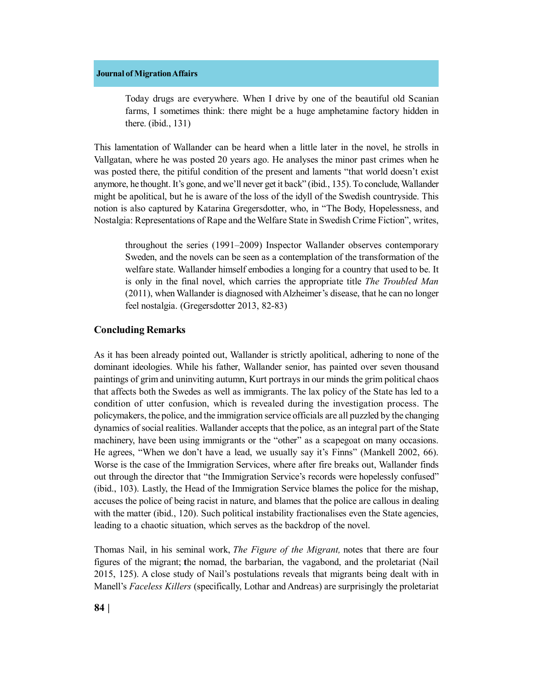Today drugs are everywhere. When I drive by one of the beautiful old Scanian farms, I sometimes think: there might be a huge amphetamine factory hidden in there. (ibid., 131)

This lamentation of Wallander can be heard when a little later in the novel, he strolls in Vallgatan, where he was posted 20 years ago. He analyses the minor past crimes when he was posted there, the pitiful condition of the present and laments "that world doesn't exist anymore, he thought. It's gone, and we'll never get it back" (ibid., 135). To conclude, Wallander might be apolitical, but he is aware of the loss of the idyll of the Swedish countryside. This notion is also captured by Katarina Gregersdotter, who, in "The Body, Hopelessness, and Nostalgia: Representations of Rape and the Welfare State in Swedish Crime Fiction", writes,

throughout the series (1991–2009) Inspector Wallander observes contemporary Sweden, and the novels can be seen as a contemplation of the transformation of the welfare state. Wallander himself embodies a longing for a country that used to be. It is only in the final novel, which carries the appropriate title *The Troubled Man* (2011), when Wallander is diagnosed with Alzheimer's disease, that he can no longer feel nostalgia. (Gregersdotter 2013, 82-83)

# **Concluding Remarks**

As it has been already pointed out, Wallander is strictly apolitical, adhering to none of the dominant ideologies. While his father, Wallander senior, has painted over seven thousand paintings of grim and uninviting autumn, Kurt portrays in our minds the grim political chaos that affects both the Swedes as well as immigrants. The lax policy of the State has led to a condition of utter confusion, which is revealed during the investigation process. The policymakers, the police, and the immigration service officials are all puzzled by the changing dynamics of social realities. Wallander accepts that the police, as an integral part of the State machinery, have been using immigrants or the "other" as a scapegoat on many occasions. He agrees, "When we don't have a lead, we usually say it's Finns" (Mankell 2002, 66). Worse is the case of the Immigration Services, where after fire breaks out, Wallander finds out through the director that "the Immigration Service's records were hopelessly confused" (ibid., 103). Lastly, the Head of the Immigration Service blames the police for the mishap, accuses the police of being racist in nature, and blames that the police are callous in dealing with the matter (ibid., 120). Such political instability fractionalises even the State agencies, leading to a chaotic situation, which serves as the backdrop of the novel.

Thomas Nail, in his seminal work, *The Figure of the Migrant,* notes that there are four figures of the migrant; **t**he nomad, the barbarian, the vagabond, and the proletariat (Nail 2015, 125). A close study of Nail's postulations reveals that migrants being dealt with in Manell's *Faceless Killers* (specifically, Lothar and Andreas) are surprisingly the proletariat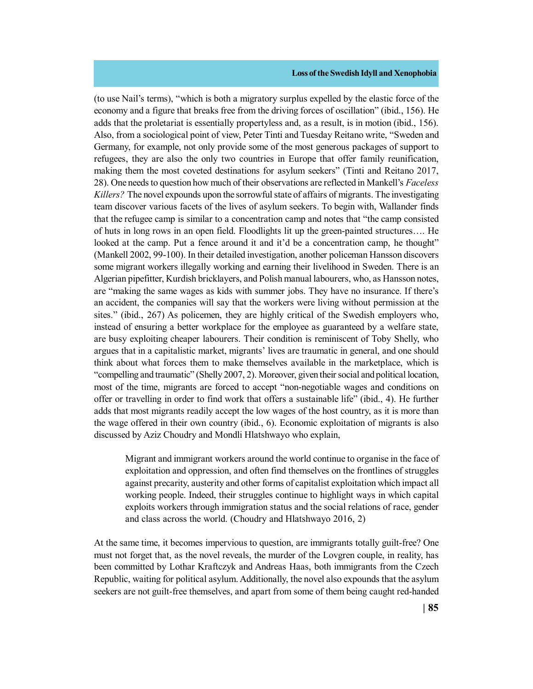(to use Nail's terms), "which is both a migratory surplus expelled by the elastic force of the economy and a figure that breaks free from the driving forces of oscillation" (ibid., 156). He adds that the proletariat is essentially propertyless and, as a result, is in motion (ibid., 156). Also, from a sociological point of view, Peter Tinti and Tuesday Reitano write, "Sweden and Germany, for example, not only provide some of the most generous packages of support to refugees, they are also the only two countries in Europe that offer family reunification, making them the most coveted destinations for asylum seekers" (Tinti and Reitano 2017, 28). One needs to question how much of their observations are reflected in Mankell's *Faceless Killers?* The novel expounds upon the sorrowful state of affairs of migrants. The investigating team discover various facets of the lives of asylum seekers. To begin with, Wallander finds that the refugee camp is similar to a concentration camp and notes that "the camp consisted of huts in long rows in an open field. Floodlights lit up the green-painted structures…. He looked at the camp. Put a fence around it and it'd be a concentration camp, he thought" (Mankell 2002, 99-100). In their detailed investigation, another policeman Hansson discovers some migrant workers illegally working and earning their livelihood in Sweden. There is an Algerian pipefitter, Kurdish bricklayers, and Polish manual labourers, who, as Hansson notes, are "making the same wages as kids with summer jobs. They have no insurance. If there's an accident, the companies will say that the workers were living without permission at the sites." (ibid., 267) As policemen, they are highly critical of the Swedish employers who, instead of ensuring a better workplace for the employee as guaranteed by a welfare state, are busy exploiting cheaper labourers. Their condition is reminiscent of Toby Shelly, who argues that in a capitalistic market, migrants' lives are traumatic in general, and one should think about what forces them to make themselves available in the marketplace, which is "compelling and traumatic" (Shelly 2007, 2). Moreover, given their social and political location, most of the time, migrants are forced to accept "non-negotiable wages and conditions on offer or travelling in order to find work that offers a sustainable life" (ibid., 4). He further adds that most migrants readily accept the low wages of the host country, as it is more than the wage offered in their own country (ibid., 6). Economic exploitation of migrants is also discussed by Aziz Choudry and Mondli Hlatshwayo who explain,

Migrant and immigrant workers around the world continue to organise in the face of exploitation and oppression, and often find themselves on the frontlines of struggles against precarity, austerity and other forms of capitalist exploitation which impact all working people. Indeed, their struggles continue to highlight ways in which capital exploits workers through immigration status and the social relations of race, gender and class across the world. (Choudry and Hlatshwayo 2016, 2)

At the same time, it becomes impervious to question, are immigrants totally guilt-free? One must not forget that, as the novel reveals, the murder of the Lovgren couple, in reality, has been committed by Lothar Kraftczyk and Andreas Haas, both immigrants from the Czech Republic, waiting for political asylum. Additionally, the novel also expounds that the asylum seekers are not guilt-free themselves, and apart from some of them being caught red-handed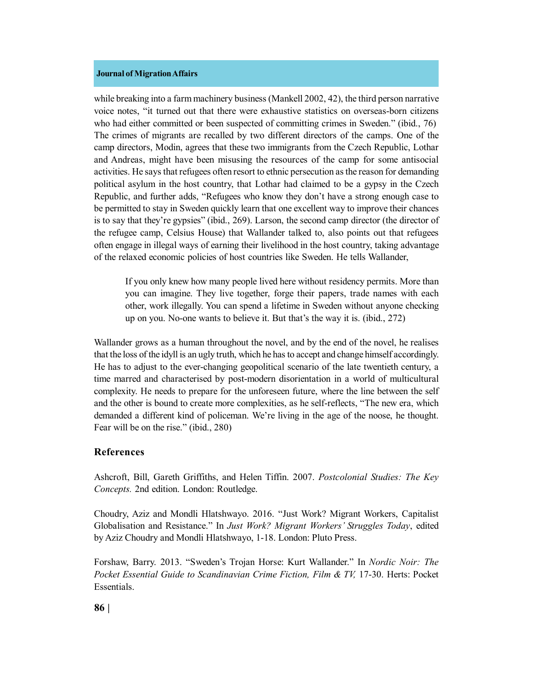while breaking into a farm machinery business (Mankell 2002, 42), the third person narrative voice notes, "it turned out that there were exhaustive statistics on overseas-born citizens who had either committed or been suspected of committing crimes in Sweden." (ibid., 76) The crimes of migrants are recalled by two different directors of the camps. One of the camp directors, Modin, agrees that these two immigrants from the Czech Republic, Lothar and Andreas, might have been misusing the resources of the camp for some antisocial activities. He says that refugees often resort to ethnic persecution as the reason for demanding political asylum in the host country, that Lothar had claimed to be a gypsy in the Czech Republic, and further adds, "Refugees who know they don't have a strong enough case to be permitted to stay in Sweden quickly learn that one excellent way to improve their chances is to say that they're gypsies" (ibid., 269). Larson, the second camp director (the director of the refugee camp, Celsius House) that Wallander talked to, also points out that refugees often engage in illegal ways of earning their livelihood in the host country, taking advantage of the relaxed economic policies of host countries like Sweden. He tells Wallander,

If you only knew how many people lived here without residency permits. More than you can imagine. They live together, forge their papers, trade names with each other, work illegally. You can spend a lifetime in Sweden without anyone checking up on you. No-one wants to believe it. But that's the way it is. (ibid., 272)

Wallander grows as a human throughout the novel, and by the end of the novel, he realises that the loss of the idyll is an ugly truth, which he has to accept and change himself accordingly. He has to adjust to the ever-changing geopolitical scenario of the late twentieth century, a time marred and characterised by post-modern disorientation in a world of multicultural complexity. He needs to prepare for the unforeseen future, where the line between the self and the other is bound to create more complexities, as he self-reflects, "The new era, which demanded a different kind of policeman. We're living in the age of the noose, he thought. Fear will be on the rise." (ibid., 280)

# **References**

Ashcroft, Bill, Gareth Griffiths, and Helen Tiffin. 2007. *Postcolonial Studies: The Key Concepts.* 2nd edition. London: Routledge.

Choudry, Aziz and Mondli Hlatshwayo. 2016. "Just Work? Migrant Workers, Capitalist Globalisation and Resistance." In *Just Work? Migrant Workers' Struggles Today*, edited by Aziz Choudry and Mondli Hlatshwayo, 1-18. London: Pluto Press.

Forshaw, Barry. 2013. "Sweden's Trojan Horse: Kurt Wallander." In *Nordic Noir: The Pocket Essential Guide to Scandinavian Crime Fiction, Film & TV,* 17-30. Herts: Pocket Essentials.

**86 |**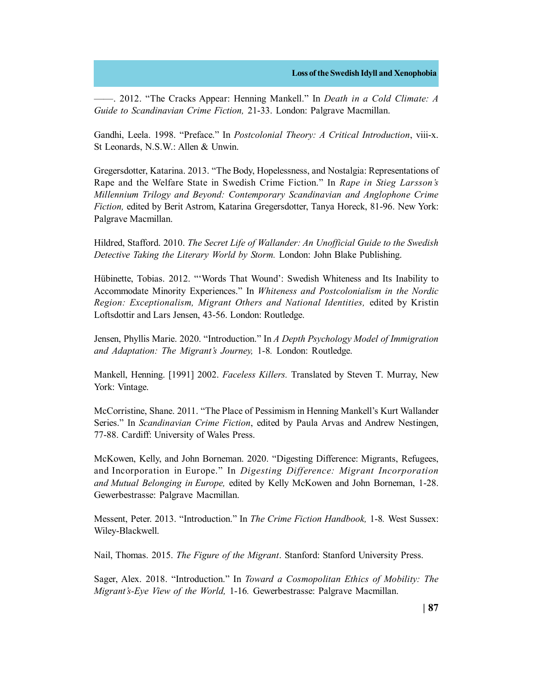——. 2012. "The Cracks Appear: Henning Mankell." In *Death in a Cold Climate: A Guide to Scandinavian Crime Fiction,* 21-33. London: Palgrave Macmillan.

Gandhi, Leela. 1998. "Preface." In *Postcolonial Theory: A Critical Introduction*, viii-x. St Leonards, N.S.W.: Allen & Unwin.

Gregersdotter, Katarina. 2013. "The Body, Hopelessness, and Nostalgia: Representations of Rape and the Welfare State in Swedish Crime Fiction." In *Rape in Stieg Larsson's Millennium Trilogy and Beyond: Contemporary Scandinavian and Anglophone Crime Fiction,* edited by Berit Astrom, Katarina Gregersdotter, Tanya Horeck, 81-96. New York: Palgrave Macmillan.

Hildred, Stafford. 2010. *The Secret Life of Wallander: An Unofficial Guide to the Swedish Detective Taking the Literary World by Storm.* London: John Blake Publishing.

Hübinette, Tobias. 2012. "'Words That Wound': Swedish Whiteness and Its Inability to Accommodate Minority Experiences." In *Whiteness and Postcolonialism in the Nordic Region: Exceptionalism, Migrant Others and National Identities,* edited by Kristin Loftsdottir and Lars Jensen, 43-56. London: Routledge.

Jensen, Phyllis Marie. 2020. "Introduction." In *A Depth Psychology Model of Immigration and Adaptation: The Migrant's Journey,* 1-8*.* London: Routledge.

Mankell, Henning. [1991] 2002. *Faceless Killers.* Translated by Steven T. Murray, New York: Vintage.

McCorristine, Shane. 2011. "The Place of Pessimism in Henning Mankell's Kurt Wallander Series." In *Scandinavian Crime Fiction*, edited by Paula Arvas and Andrew Nestingen, 77-88. Cardiff: University of Wales Press.

McKowen, Kelly, and John Borneman. 2020. "Digesting Difference: Migrants, Refugees, and Incorporation in Europe." In *Digesting Difference: Migrant Incorporation and Mutual Belonging in Europe,*  edited by Kelly McKowen and John Borneman, 1-28. Gewerbestrasse: Palgrave Macmillan.

Messent, Peter. 2013. "Introduction." In *The Crime Fiction Handbook,* 1-8*.* West Sussex: Wiley-Blackwell.

Nail, Thomas. 2015. *The Figure of the Migrant*. Stanford: Stanford University Press.

Sager, Alex. 2018. "Introduction." In *Toward a Cosmopolitan Ethics of Mobility: The Migrant's-Eye View of the World,* 1-16*.* Gewerbestrasse: Palgrave Macmillan.